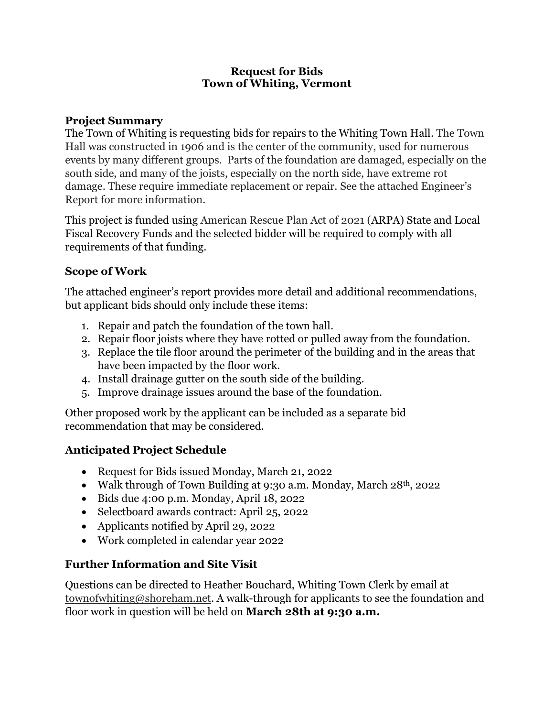#### **Request for Bids Town of Whiting, Vermont**

#### **Project Summary**

The Town of Whiting is requesting bids for repairs to the Whiting Town Hall. The Town Hall was constructed in 1906 and is the center of the community, used for numerous events by many different groups. Parts of the foundation are damaged, especially on the south side, and many of the joists, especially on the north side, have extreme rot damage. These require immediate replacement or repair. See the attached Engineer's Report for more information.

This project is funded using American Rescue Plan Act of 2021 (ARPA) State and Local Fiscal Recovery Funds and the selected bidder will be required to comply with all requirements of that funding.

# **Scope of Work**

The attached engineer's report provides more detail and additional recommendations, but applicant bids should only include these items:

- 1. Repair and patch the foundation of the town hall.
- 2. Repair floor joists where they have rotted or pulled away from the foundation.
- 3. Replace the tile floor around the perimeter of the building and in the areas that have been impacted by the floor work.
- 4. Install drainage gutter on the south side of the building.
- 5. Improve drainage issues around the base of the foundation.

Other proposed work by the applicant can be included as a separate bid recommendation that may be considered.

# **Anticipated Project Schedule**

- Request for Bids issued Monday, March 21, 2022
- Walk through of Town Building at 9:30 a.m. Monday, March  $28<sup>th</sup>$ , 2022
- Bids due 4:00 p.m. Monday, April 18, 2022
- Selectboard awards contract: April 25, 2022
- Applicants notified by April 29, 2022
- Work completed in calendar year 2022

# **Further Information and Site Visit**

Questions can be directed to Heather Bouchard, Whiting Town Clerk by email at townofwhiting@shoreham.net. A walk-through for applicants to see the foundation and floor work in question will be held on **March 28th at 9:30 a.m.**